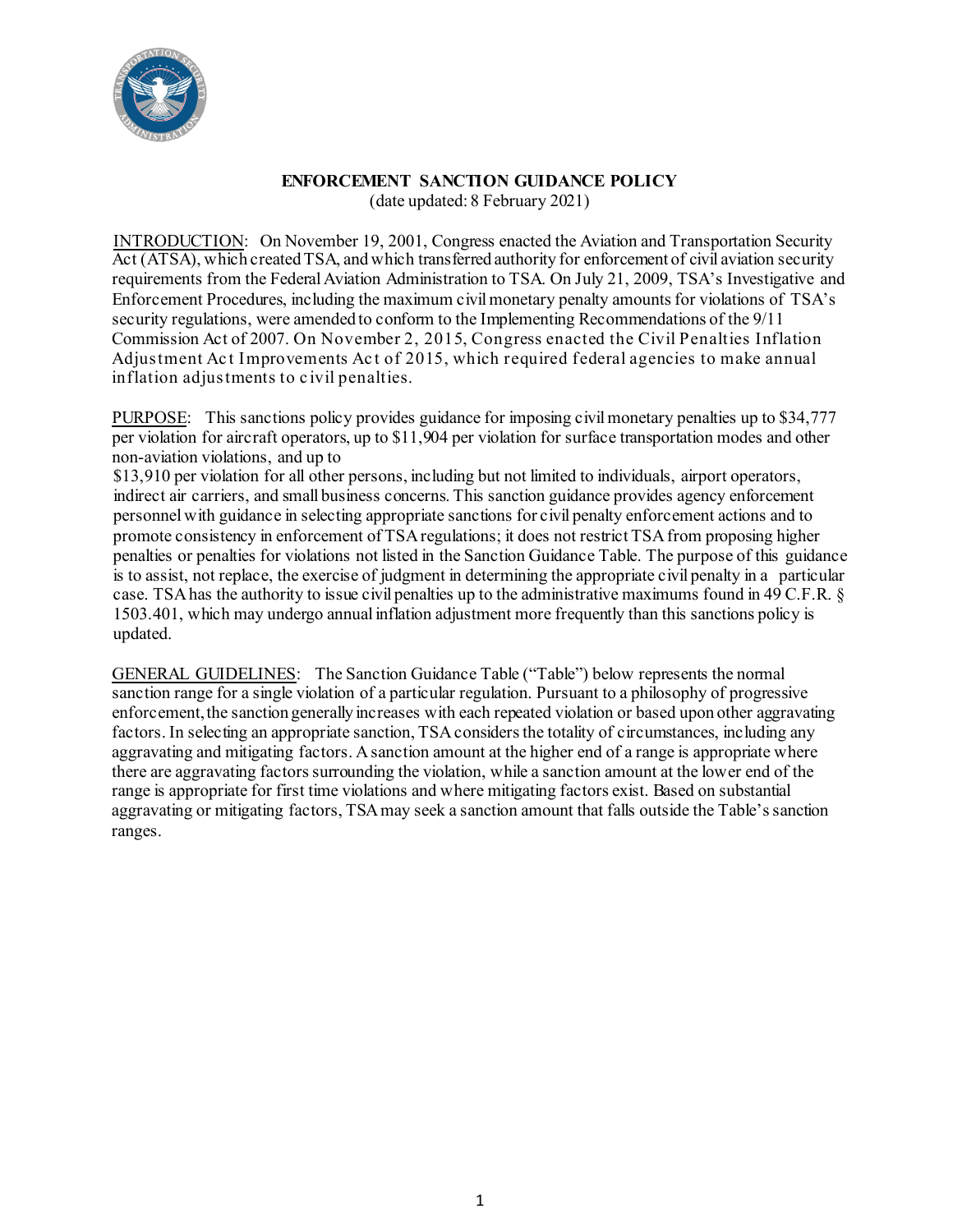

#### **ENFORCEMENT SANCTION GUIDANCE POLICY** (date updated: 8 February 2021)

INTRODUCTION: On November 19, 2001, Congress enacted the Aviation and Transportation Security Act (ATSA), which created TSA, and which transferred authority for enforcement of civil aviation security requirements from the Federal Aviation Administration to TSA. On July 21, 2009, TSA's Investigative and Enforcement Procedures, including the maximum civil monetary penalty amounts for violations of TSA's security regulations, were amended to conform to the Implementing Recommendations of the 9/11 Commission Act of 2007. On November 2, 2015, Congress enacted the Civil Penalties Inflation Adjustment Act Improvements Act of 2015, which required federal agencies to make annual inflation adjustments to civil penalties.

PURPOSE: This sanctions policy provides guidance for imposing civil monetary penalties up to \$34,777 per violation for aircraft operators, up to \$11,904 per violation for surface transportation modes and other non-aviation violations, and up to

\$13,910 per violation for all other persons, including but not limited to individuals, airport operators, indirect air carriers, and small business concerns. This sanction guidance provides agency enforcement personnel with guidance in selecting appropriate sanctions for civil penalty enforcement actions and to promote consistency in enforcement of TSA regulations; it does not restrict TSA from proposing higher penalties or penalties for violations not listed in the Sanction Guidance Table. The purpose of this guidance is to assist, not replace, the exercise of judgment in determining the appropriate civil penalty in a particular case. TSA has the authority to issue civil penalties up to the administrative maximums found in 49 C.F.R. § 1503.401, which may undergo annual inflation adjustment more frequently than this sanctions policy is updated.

GENERAL GUIDELINES: The Sanction Guidance Table ("Table") below represents the normal sanction range for a single violation of a particular regulation. Pursuant to a philosophy of progressive enforcement, the sanction generally increases with each repeated violation or based upon other aggravating factors. In selecting an appropriate sanction, TSA considers the totality of circumstances, including any aggravating and mitigating factors. Asanction amount at the higher end of a range is appropriate where there are aggravating factorssurrounding the violation, while a sanction amount at the lower end of the range is appropriate for first time violations and where mitigating factors exist. Based on substantial aggravating or mitigating factors, TSA may seek a sanction amount that falls outside the Table's sanction ranges.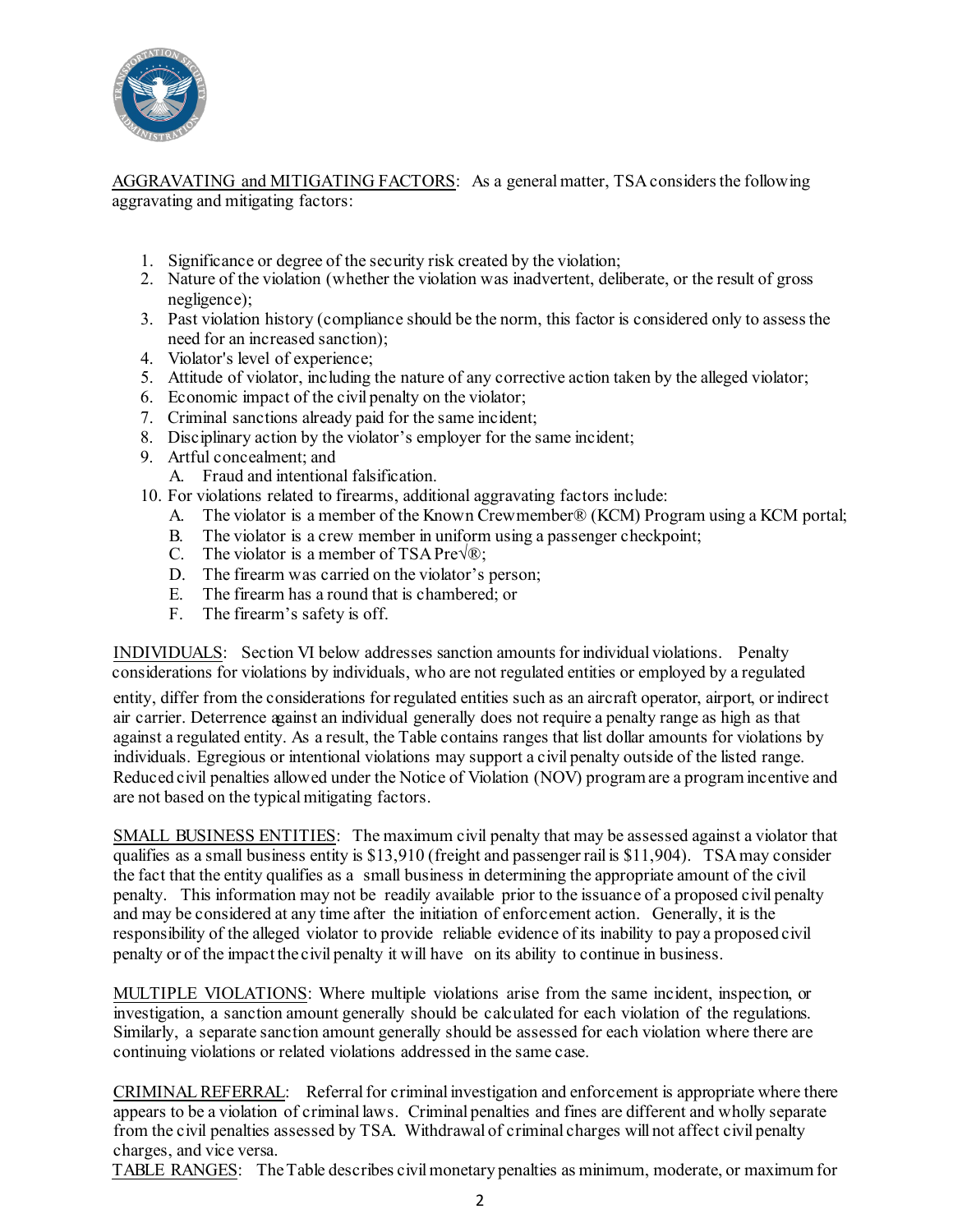

AGGRAVATING and MITIGATING FACTORS: As a general matter, TSA considers the following aggravating and mitigating factors:

- 1. Significance or degree of the security risk created by the violation;
- 2. Nature of the violation (whether the violation was inadvertent, deliberate, or the result of gross negligence);
- 3. Past violation history (compliance should be the norm, this factor is considered only to assessthe need for an increased sanction);
- 4. Violator's level of experience;
- 5. Attitude of violator, including the nature of any corrective action taken by the alleged violator;
- 6. Economic impact of the civil penalty on the violator;
- 7. Criminal sanctions already paid for the same incident;
- 8. Disciplinary action by the violator's employer for the same incident;
- 9. Artful concealment; and
	- A. Fraud and intentional falsification.
- 10. For violations related to firearms, additional aggravating factors include:
	- A. The violator is a member of the Known Crewmember® (KCM) Program using a KCM portal;
	- B. The violator is a crew member in uniform using a passenger checkpoint;
	- C. The violator is a member of TSA Pre $\sqrt{\mathcal{R}}$ :
	- D. The firearm was carried on the violator's person;
	- E. The firearm has a round that is chambered; or
	- F. The firearm's safety is off.

INDIVIDUALS: Section VI below addresses sanction amounts for individual violations. Penalty considerations for violations by individuals, who are not regulated entities or employed by a regulated

entity, differ from the considerations for regulated entities such as an aircraft operator, airport, or indirect air carrier. Deterrence against an individual generally does not require a penalty range as high as that against a regulated entity. As a result, the Table contains ranges that list dollar amounts for violations by individuals. Egregious or intentional violations may support a civil penalty outside of the listed range. Reduced civil penalties allowed under the Notice of Violation (NOV) programare a programincentive and are not based on the typicalmitigating factors.

SMALL BUSINESS ENTITIES: The maximum civil penalty that may be assessed against a violator that qualifies as a small business entity is \$13,910 (freight and passenger rail is \$11,904). TSAmay consider the fact that the entity qualifies as a small business in determining the appropriate amount of the civil penalty. This information may not be readily available prior to the issuance of a proposed civil penalty and may be considered at any time after the initiation of enforcement action. Generally, it is the responsibility of the alleged violator to provide reliable evidence of its inability to pay a proposed civil penalty or of the impact the civil penalty it will have on its ability to continue in business.

MULTIPLE VIOLATIONS: Where multiple violations arise from the same incident, inspection, or investigation, a sanction amount generally should be calculated for each violation of the regulations. Similarly, a separate sanction amount generally should be assessed for each violation where there are continuing violations or related violations addressed in the same case.

CRIMINAL REFERRAL: Referral for criminal investigation and enforcement is appropriate where there appears to be a violation of criminal laws. Criminal penalties and fines are different and wholly separate from the civil penalties assessed by TSA. Withdrawal of criminal charges will not affect civil penalty charges, and vice versa.

TABLE RANGES: TheTable describes civilmonetary penalties as minimum, moderate, or maximumfor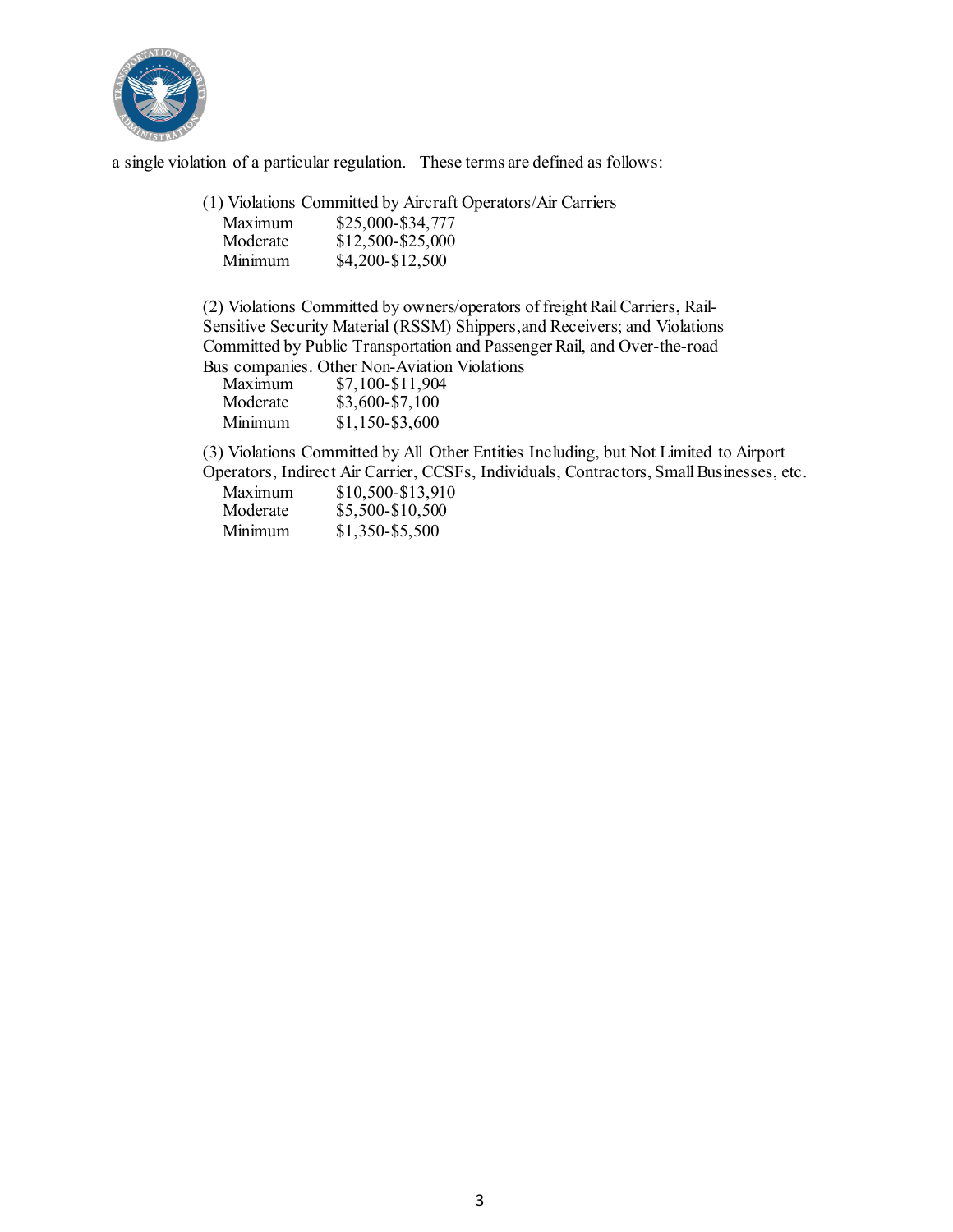

a single violation of a particular regulation. These terms are defined as follows:

(1) Violations Committed by Aircraft Operators/Air Carriers

| Maximum  | \$25,000-\$34,777 |
|----------|-------------------|
| Moderate | \$12,500-\$25,000 |
| Minimum  | \$4,200-\$12,500  |

(2) Violations Committed by owners/operators of freight RailCarriers, Rail-Sensitive Security Material (RSSM) Shippers,and Receivers; and Violations Committed by Public Transportation and Passenger Rail, and Over-the-road Bus companies. Other Non-Aviation Violations

| Maximum  | \$7,100-\$11,904 |
|----------|------------------|
| Moderate | \$3,600-\$7,100  |
| Minimum  | $$1,150-$3,600$  |

(3) Violations Committed by All Other Entities Including, but Not Limited to Airport Operators, Indirect Air Carrier, CCSFs, Individuals, Contractors, Small Businesses, etc.

| Maximum  | \$10,500-\$13,910 |
|----------|-------------------|
| Moderate | \$5,500-\$10,500  |
| Minimum  | \$1,350-\$5,500   |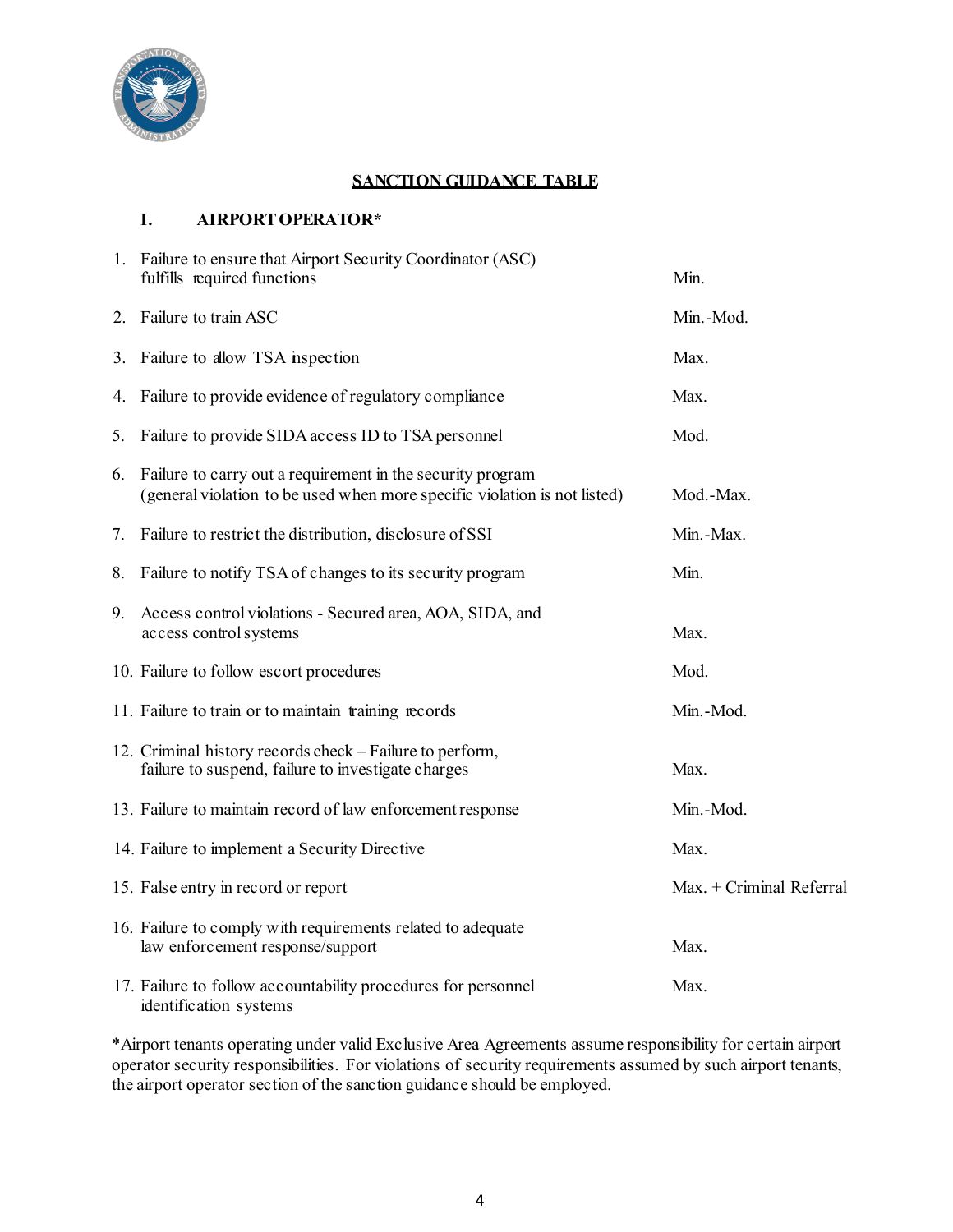

#### **SANCTION GUIDANCE TABLE**

#### **I. AIRPORT OPERATOR\***

|    | 1. Failure to ensure that Airport Security Coordinator (ASC)<br>fulfills required functions                                             | Min.                     |
|----|-----------------------------------------------------------------------------------------------------------------------------------------|--------------------------|
|    | 2. Failure to train ASC                                                                                                                 | Min.-Mod.                |
|    | 3. Failure to allow TSA inspection                                                                                                      | Max.                     |
| 4. | Failure to provide evidence of regulatory compliance                                                                                    | Max.                     |
| 5. | Failure to provide SIDA access ID to TSA personnel                                                                                      | Mod.                     |
| 6. | Failure to carry out a requirement in the security program<br>(general violation to be used when more specific violation is not listed) | Mod.-Max.                |
| 7. | Failure to restrict the distribution, disclosure of SSI                                                                                 | Min.-Max.                |
| 8. | Failure to notify TSA of changes to its security program                                                                                | Min.                     |
| 9. | Access control violations - Secured area, AOA, SIDA, and<br>access control systems                                                      | Max.                     |
|    | 10. Failure to follow escort procedures                                                                                                 | Mod.                     |
|    | 11. Failure to train or to maintain training records                                                                                    | Min.-Mod.                |
|    | 12. Criminal history records check – Failure to perform,<br>failure to suspend, failure to investigate charges                          | Max.                     |
|    | 13. Failure to maintain record of law enforcement response                                                                              | Min.-Mod.                |
|    | 14. Failure to implement a Security Directive                                                                                           | Max.                     |
|    | 15. False entry in record or report                                                                                                     | Max. + Criminal Referral |
|    | 16. Failure to comply with requirements related to adequate<br>law enforcement response/support                                         | Max.                     |
|    | 17. Failure to follow accountability procedures for personnel<br>identification systems                                                 | Max.                     |

\*Airport tenants operating under valid Exclusive Area Agreements assume responsibility for certain airport operator security responsibilities. For violations of security requirements assumed by such airport tenants, the airport operator section of the sanction guidance should be employed.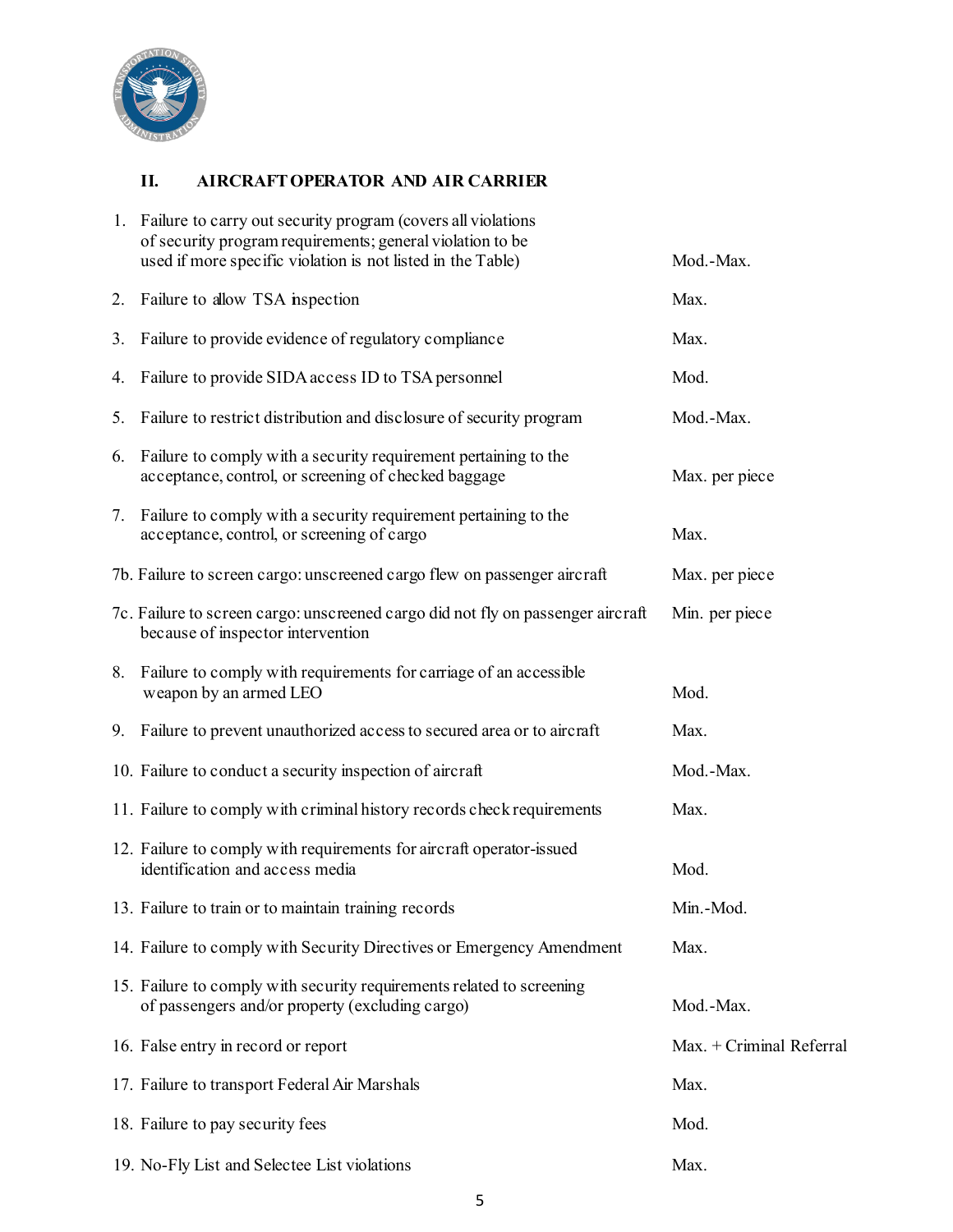

# **II. AIRCRAFT OPERATOR AND AIR CARRIER**

|    | 1. Failure to carry out security program (covers all violations<br>of security program requirements; general violation to be<br>used if more specific violation is not listed in the Table) | Mod.-Max.                |
|----|---------------------------------------------------------------------------------------------------------------------------------------------------------------------------------------------|--------------------------|
| 2. | Failure to allow TSA inspection                                                                                                                                                             | Max.                     |
| 3. | Failure to provide evidence of regulatory compliance                                                                                                                                        | Max.                     |
| 4. | Failure to provide SIDA access ID to TSA personnel                                                                                                                                          | Mod.                     |
| 5. | Failure to restrict distribution and disclosure of security program                                                                                                                         | Mod.-Max.                |
|    | 6. Failure to comply with a security requirement pertaining to the<br>acceptance, control, or screening of checked baggage                                                                  | Max. per piece           |
| 7. | Failure to comply with a security requirement pertaining to the<br>acceptance, control, or screening of cargo                                                                               | Max.                     |
|    | 7b. Failure to screen cargo: unscreened cargo flew on passenger aircraft                                                                                                                    | Max. per piece           |
|    | 7c. Failure to screen cargo: unscreened cargo did not fly on passenger aircraft<br>because of inspector intervention                                                                        | Min. per piece           |
| 8. | Failure to comply with requirements for carriage of an accessible<br>weapon by an armed LEO                                                                                                 | Mod.                     |
|    | 9. Failure to prevent unauthorized access to secured area or to aircraft                                                                                                                    | Max.                     |
|    | 10. Failure to conduct a security inspection of aircraft                                                                                                                                    | Mod.-Max.                |
|    | 11. Failure to comply with criminal history records check requirements                                                                                                                      | Max.                     |
|    | 12. Failure to comply with requirements for aircraft operator-issued<br>identification and access media                                                                                     | Mod.                     |
|    | 13. Failure to train or to maintain training records                                                                                                                                        | Min.-Mod.                |
|    | 14. Failure to comply with Security Directives or Emergency Amendment                                                                                                                       | Max.                     |
|    | 15. Failure to comply with security requirements related to screening<br>of passengers and/or property (excluding cargo)                                                                    | Mod.-Max.                |
|    | 16. False entry in record or report                                                                                                                                                         | Max. + Criminal Referral |
|    | 17. Failure to transport Federal Air Marshals                                                                                                                                               | Max.                     |
|    | 18. Failure to pay security fees                                                                                                                                                            | Mod.                     |
|    | 19. No-Fly List and Selectee List violations                                                                                                                                                | Max.                     |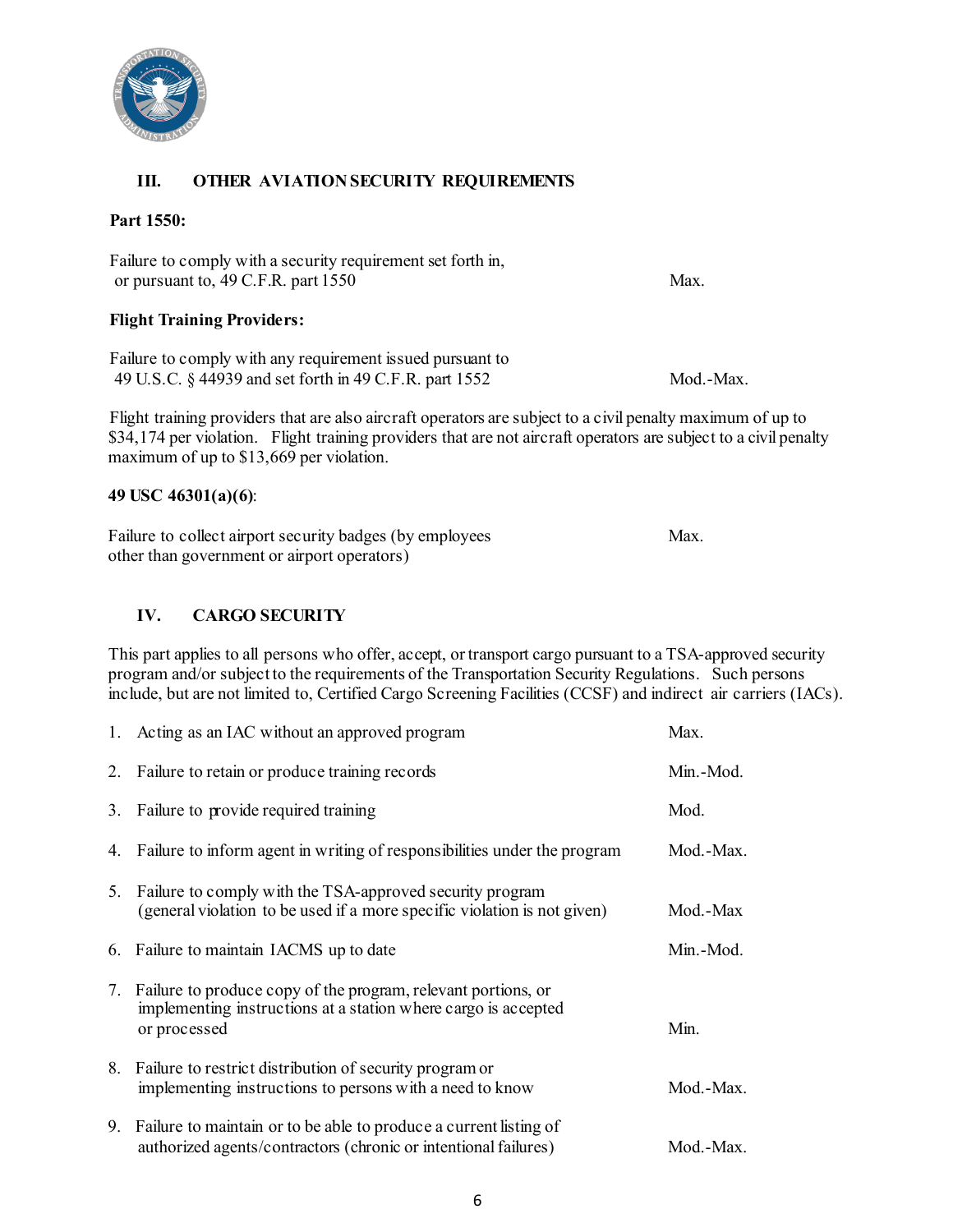

## **III. OTHER AVIATION SECURITY REQUIREMENTS**

#### **Part 1550:**

Failure to comply with a security requirement set forth in, or pursuant to, 49 C.F.R. part 1550 Max.

#### **Flight Training Providers:**

Failure to comply with any requirement issued pursuant to 49 U.S.C. § 44939 and set forth in 49 C.F.R. part 1552 Mod.-Max.

Flight training providers that are also aircraft operators are subject to a civil penalty maximum of up to \$34,174 per violation. Flight training providers that are not aircraft operators are subject to a civil penalty maximum of up to \$13,669 per violation.

#### **49 USC 46301(a)(6)**:

| Failure to collect airport security badges (by employees | Max. |
|----------------------------------------------------------|------|
| other than government or airport operators)              |      |

#### **IV. CARGO SECURITY**

This part applies to all persons who offer, accept, or transport cargo pursuant to a TSA-approved security program and/or subject to the requirements of the Transportation Security Regulations. Such persons include, but are not limited to, Certified Cargo Screening Facilities (CCSF) and indirect air carriers (IACs).

| 1. Acting as an IAC without an approved program                                                                                                    | Max.      |
|----------------------------------------------------------------------------------------------------------------------------------------------------|-----------|
| 2. Failure to retain or produce training records                                                                                                   | Min.-Mod. |
| 3. Failure to provide required training                                                                                                            | Mod.      |
| 4. Failure to inform agent in writing of responsibilities under the program                                                                        | Mod.-Max. |
| 5. Failure to comply with the TSA-approved security program<br>(general violation to be used if a more specific violation is not given)            | Mod.-Max  |
| 6. Failure to maintain IACMS up to date                                                                                                            | Min.-Mod. |
| 7. Failure to produce copy of the program, relevant portions, or<br>implementing instructions at a station where cargo is accepted<br>or processed | Min.      |
| 8. Failure to restrict distribution of security program or<br>implementing instructions to persons with a need to know                             | Mod.-Max. |
| 9. Failure to maintain or to be able to produce a current listing of<br>authorized agents/contractors (chronic or intentional failures)            | Mod.-Max. |

6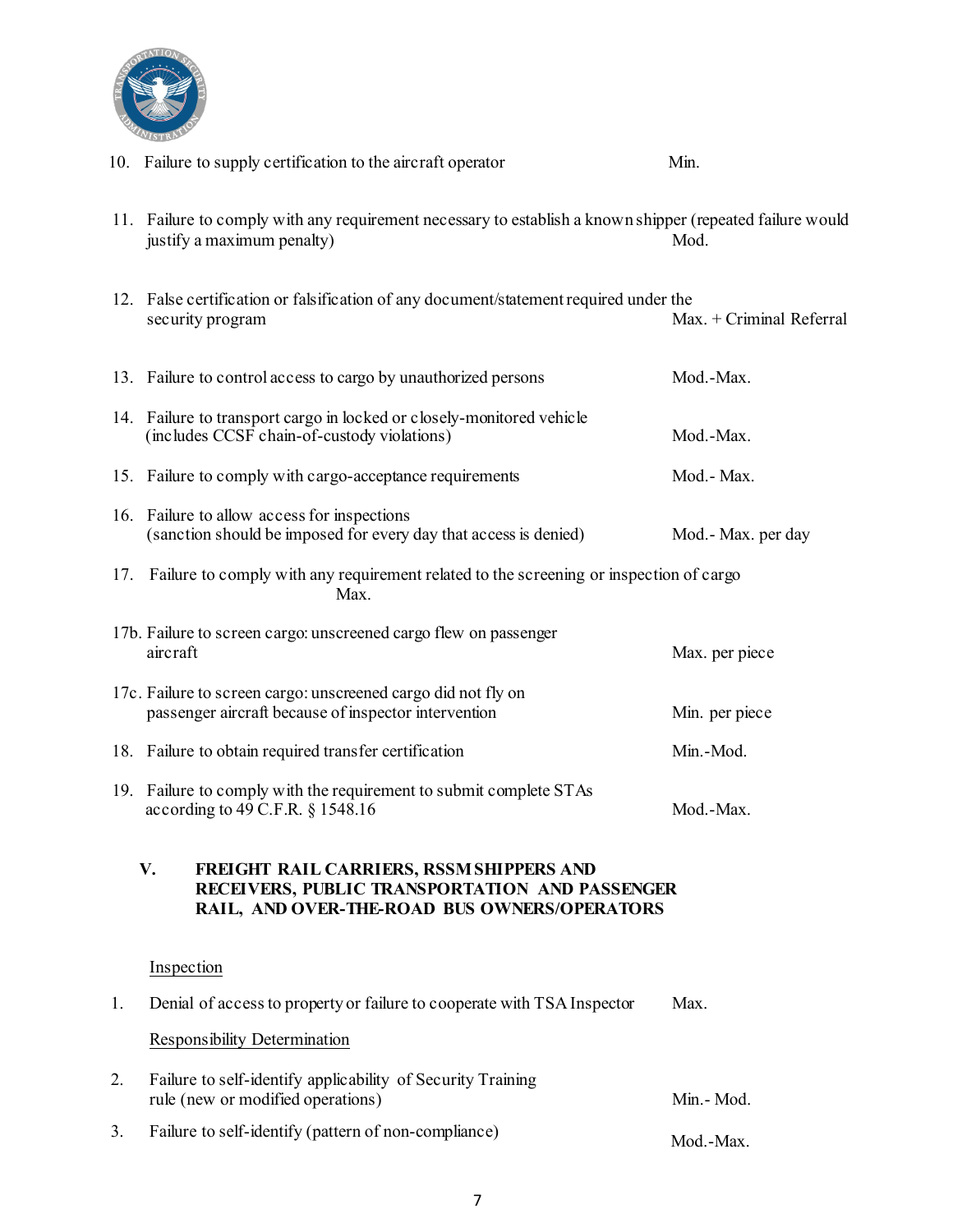

|    | 10. Failure to supply certification to the aircraft operator                                                                                     | Min.                     |  |  |  |
|----|--------------------------------------------------------------------------------------------------------------------------------------------------|--------------------------|--|--|--|
|    | 11. Failure to comply with any requirement necessary to establish a known shipper (repeated failure would<br>justify a maximum penalty)          | Mod.                     |  |  |  |
|    | 12. False certification or falsification of any document/statement required under the<br>security program                                        | Max. + Criminal Referral |  |  |  |
|    | 13. Failure to control access to cargo by unauthorized persons                                                                                   | Mod.-Max.                |  |  |  |
|    | 14. Failure to transport cargo in locked or closely-monitored vehicle<br>(includes CCSF chain-of-custody violations)                             | Mod.-Max.                |  |  |  |
|    | 15. Failure to comply with cargo-acceptance requirements                                                                                         | Mod.- Max.               |  |  |  |
|    | 16. Failure to allow access for inspections<br>(sanction should be imposed for every day that access is denied)                                  | Mod.- Max. per day       |  |  |  |
|    | 17. Failure to comply with any requirement related to the screening or inspection of cargo<br>Max.                                               |                          |  |  |  |
|    | 17b. Failure to screen cargo: unscreened cargo flew on passenger<br>aircraft                                                                     | Max. per piece           |  |  |  |
|    | 17c. Failure to screen cargo: unscreened cargo did not fly on<br>passenger aircraft because of inspector intervention                            | Min. per piece           |  |  |  |
|    | 18. Failure to obtain required transfer certification                                                                                            | Min.-Mod.                |  |  |  |
|    | 19. Failure to comply with the requirement to submit complete STAs<br>according to 49 C.F.R. $\S$ 1548.16                                        | Mod.-Max.                |  |  |  |
|    | V.<br>FREIGHT RAIL CARRIERS, RSSM SHIPPERS AND<br>RECEIVERS, PUBLIC TRANSPORTATION AND PASSENGER<br>RAIL, AND OVER-THE-ROAD BUS OWNERS/OPERATORS |                          |  |  |  |
|    | Inspection                                                                                                                                       |                          |  |  |  |
| 1. | Denial of access to property or failure to cooperate with TSA Inspector                                                                          | Max.                     |  |  |  |
|    | <b>Responsibility Determination</b>                                                                                                              |                          |  |  |  |
| 2. | Failure to self-identify applicability of Security Training<br>rule (new or modified operations)                                                 | Min. - Mod.              |  |  |  |
| 3. | Failure to self-identify (pattern of non-compliance)                                                                                             | Mod.-Max.                |  |  |  |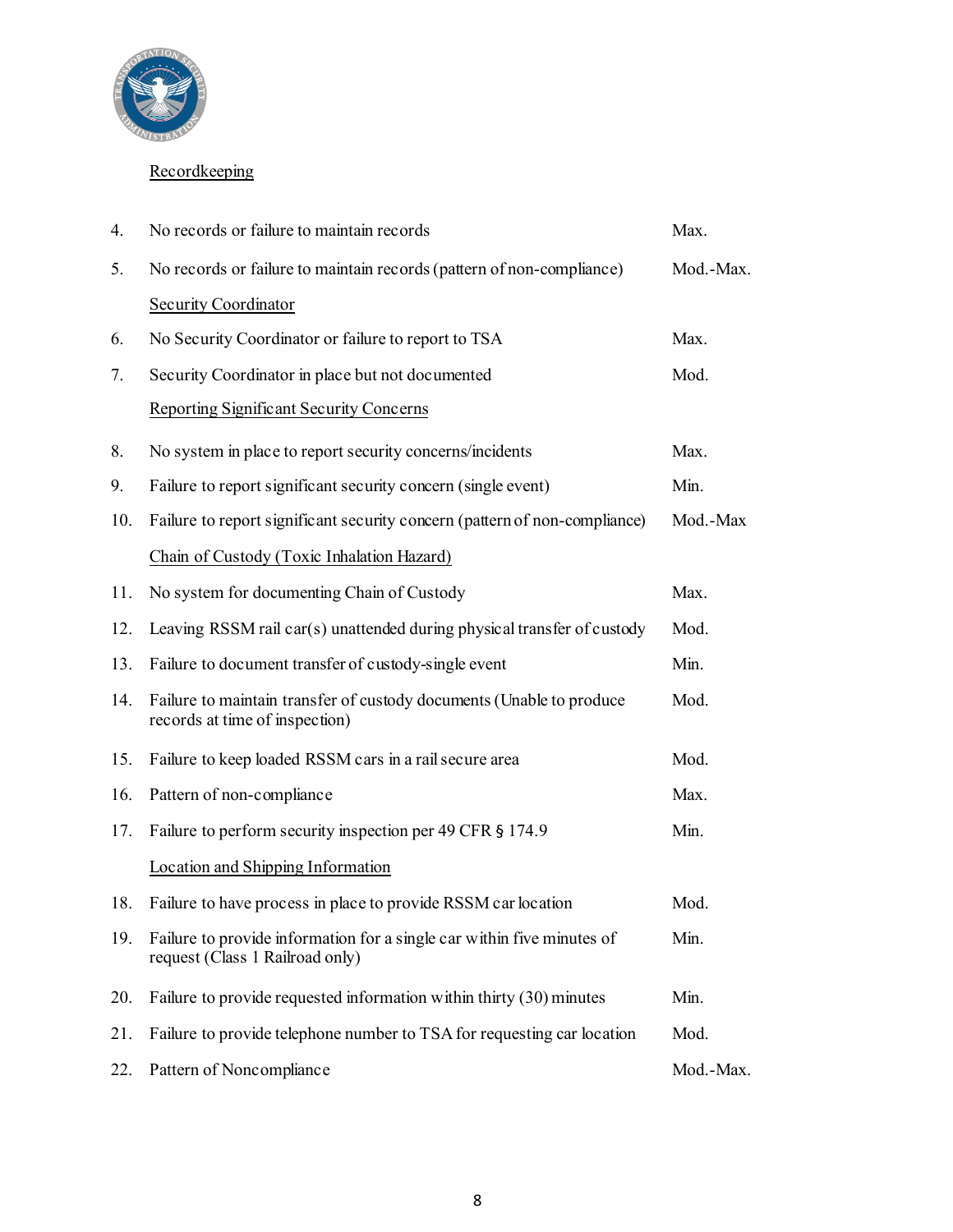

# **Recordkeeping**

| 4.  | No records or failure to maintain records                                                                 | Max.      |
|-----|-----------------------------------------------------------------------------------------------------------|-----------|
| 5.  | No records or failure to maintain records (pattern of non-compliance)                                     | Mod.-Max. |
|     | <b>Security Coordinator</b>                                                                               |           |
| 6.  | No Security Coordinator or failure to report to TSA                                                       | Max.      |
| 7.  | Security Coordinator in place but not documented                                                          | Mod.      |
|     | <b>Reporting Significant Security Concerns</b>                                                            |           |
| 8.  | No system in place to report security concerns/incidents                                                  | Max.      |
| 9.  | Failure to report significant security concern (single event)                                             | Min.      |
| 10. | Failure to report significant security concern (pattern of non-compliance)                                | Mod.-Max  |
|     | Chain of Custody (Toxic Inhalation Hazard)                                                                |           |
| 11. | No system for documenting Chain of Custody                                                                | Max.      |
| 12. | Leaving RSSM rail car(s) unattended during physical transfer of custody                                   | Mod.      |
| 13. | Failure to document transfer of custody-single event                                                      | Min.      |
| 14. | Failure to maintain transfer of custody documents (Unable to produce<br>records at time of inspection)    | Mod.      |
| 15. | Failure to keep loaded RSSM cars in a rail secure area                                                    | Mod.      |
| 16. | Pattern of non-compliance                                                                                 | Max.      |
| 17. | Failure to perform security inspection per 49 CFR § 174.9                                                 | Min.      |
|     | Location and Shipping Information                                                                         |           |
| 18. | Failure to have process in place to provide RSSM car location                                             | Mod.      |
| 19. | Failure to provide information for a single car within five minutes of<br>request (Class 1 Railroad only) | Min.      |
| 20. | Failure to provide requested information within thirty (30) minutes                                       | Min.      |
| 21. | Failure to provide telephone number to TSA for requesting car location                                    | Mod.      |
| 22. | Pattern of Noncompliance                                                                                  | Mod.-Max. |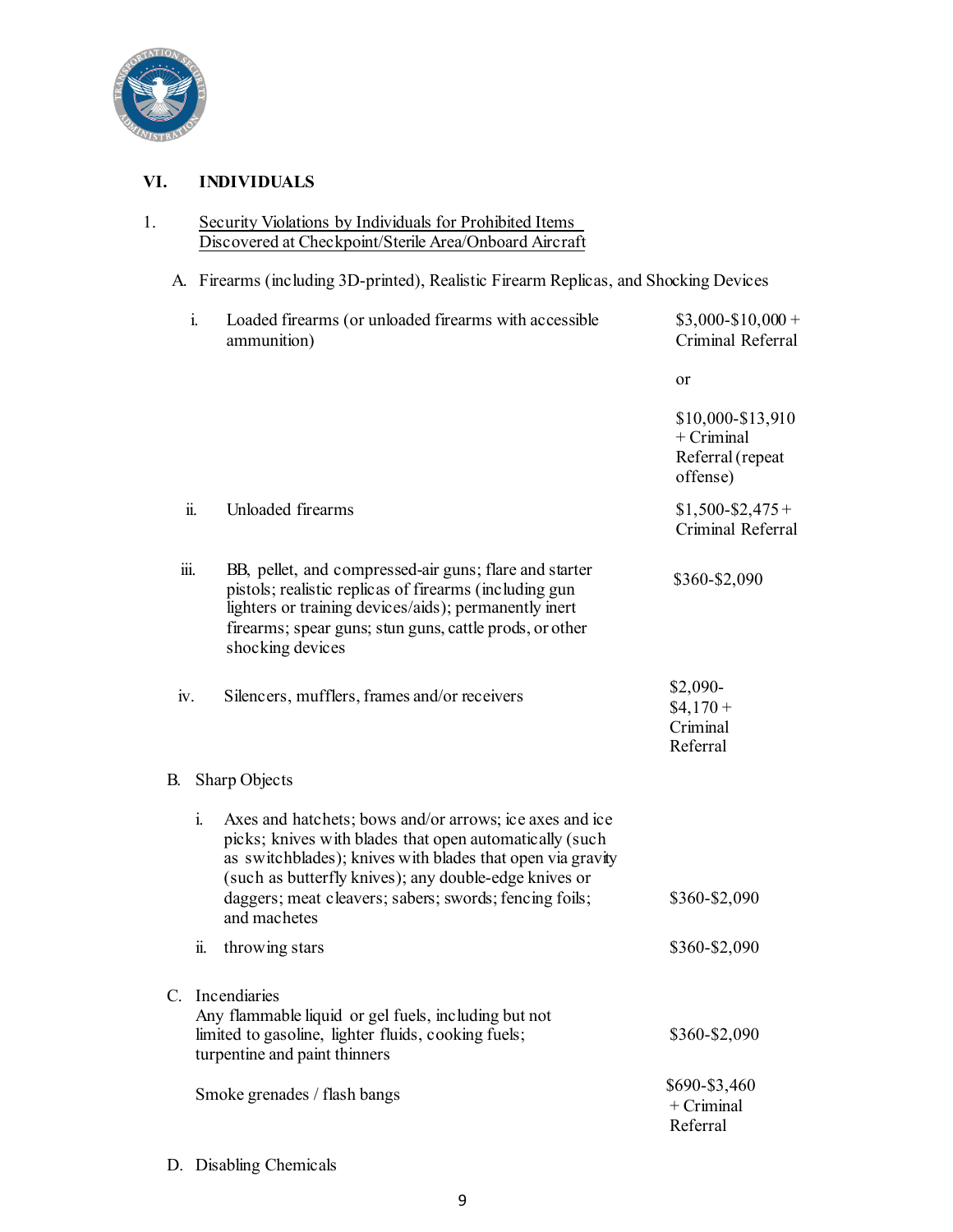

# **VI. INDIVIDUALS**

| Security Violations by Individuals for Prohibited Items |
|---------------------------------------------------------|
| Discovered at Checkpoint/Sterile Area/Onboard Aircraft  |

A. Firearms (including 3D-printed), Realistic Firearm Replicas, and Shocking Devices

| i.   | Loaded firearms (or unloaded firearms with accessible<br>ammunition)                                                                                                                                                                                                                                                | $$3,000-S10,000+$<br>Criminal Referral                            |
|------|---------------------------------------------------------------------------------------------------------------------------------------------------------------------------------------------------------------------------------------------------------------------------------------------------------------------|-------------------------------------------------------------------|
|      |                                                                                                                                                                                                                                                                                                                     | or                                                                |
|      |                                                                                                                                                                                                                                                                                                                     | \$10,000-\$13,910<br>$+$ Criminal<br>Referral (repeat<br>offense) |
| ii.  | Unloaded firearms                                                                                                                                                                                                                                                                                                   | $$1,500 - $2,475 +$<br>Criminal Referral                          |
| iii. | BB, pellet, and compressed-air guns; flare and starter<br>pistols; realistic replicas of firearms (including gun<br>lighters or training devices/aids); permanently inert<br>firearms; spear guns; stun guns, cattle prods, or other<br>shocking devices                                                            | \$360-\$2,090                                                     |
| iv.  | Silencers, mufflers, frames and/or receivers                                                                                                                                                                                                                                                                        | $$2,090-$<br>$$4,170+$<br>Criminal<br>Referral                    |
| В.   | Sharp Objects                                                                                                                                                                                                                                                                                                       |                                                                   |
| i.   | Axes and hatchets; bows and/or arrows; ice axes and ice<br>picks; knives with blades that open automatically (such<br>as switchblades); knives with blades that open via gravity<br>(such as butterfly knives); any double-edge knives or<br>daggers; meat cleavers; sabers; swords; fencing foils;<br>and machetes | \$360-\$2,090                                                     |
| ii.  | throwing stars                                                                                                                                                                                                                                                                                                      | \$360-\$2,090                                                     |
|      | C. Incendiaries<br>Any flammable liquid or gel fuels, including but not<br>limited to gasoline, lighter fluids, cooking fuels;<br>turpentine and paint thinners                                                                                                                                                     | \$360-\$2,090                                                     |
|      | Smoke grenades / flash bangs                                                                                                                                                                                                                                                                                        | \$690-\$3,460<br>$+$ Criminal<br>Referral                         |

D. Disabling Chemicals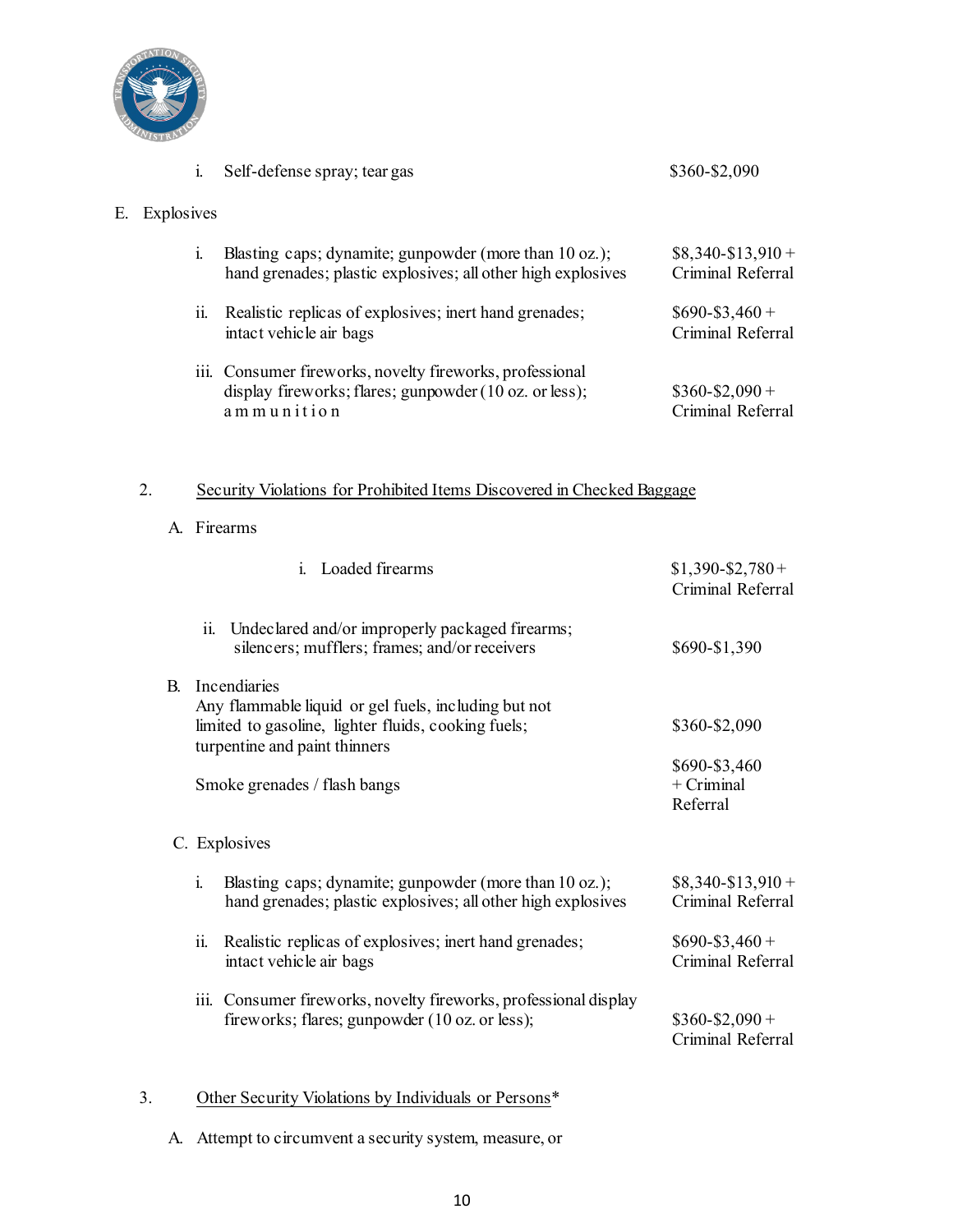

|    | 1.         | Self-defense spray; tear gas                                                                                                     | \$360-\$2,090                          |
|----|------------|----------------------------------------------------------------------------------------------------------------------------------|----------------------------------------|
| Е. | Explosives |                                                                                                                                  |                                        |
|    | 1.         | Blasting caps; dynamite; gunpowder (more than 10 oz.);<br>hand grenades; plastic explosives; all other high explosives           | $$8,340-S13,910+$<br>Criminal Referral |
|    | 11.        | Realistic replicas of explosives; inert hand grenades;<br>intact vehicle air bags                                                | $$690 - $3,460 +$<br>Criminal Referral |
|    |            | iii. Consumer fireworks, novelty fireworks, professional<br>display fireworks; flares; gunpowder (10 oz. or less);<br>ammunition | $$360 - $2,090 +$<br>Criminal Referral |

# 2. Security Violations for Prohibited Items Discovered in Checked Baggage

A. Firearms

|                                                  | <i>i.</i> Loaded firearms                                                                                                                   | $$1,390 - $2,780 +$<br>Criminal Referral                   |
|--------------------------------------------------|---------------------------------------------------------------------------------------------------------------------------------------------|------------------------------------------------------------|
| $\ddot{\mathbf{i}}$                              | Undeclared and/or improperly packaged firearms;<br>silencers; mufflers; frames; and/or receivers                                            | \$690-\$1,390                                              |
| B. Incendiaries<br>turpentine and paint thinners | Any flammable liquid or gel fuels, including but not<br>limited to gasoline, lighter fluids, cooking fuels;<br>Smoke grenades / flash bangs | \$360-\$2,090<br>\$690-\$3,460<br>$+$ Criminal<br>Referral |
| C. Explosives                                    |                                                                                                                                             |                                                            |
| i.                                               | Blasting caps; dynamite; gunpowder (more than 10 oz.);<br>hand grenades; plastic explosives; all other high explosives                      | $$8,340-S13,910+$<br>Criminal Referral                     |
| ii.                                              | Realistic replicas of explosives; inert hand grenades;<br>intact vehicle air bags                                                           | $$690 - $3,460 +$<br>Criminal Referral                     |
|                                                  | iii. Consumer fireworks, novelty fireworks, professional display<br>fireworks; flares; gunpowder (10 oz. or less);                          | $$360 - $2,090 +$<br>Criminal Referral                     |

#### 3. Other Security Violations by Individuals or Persons\*

A. Attempt to circumvent a security system, measure, or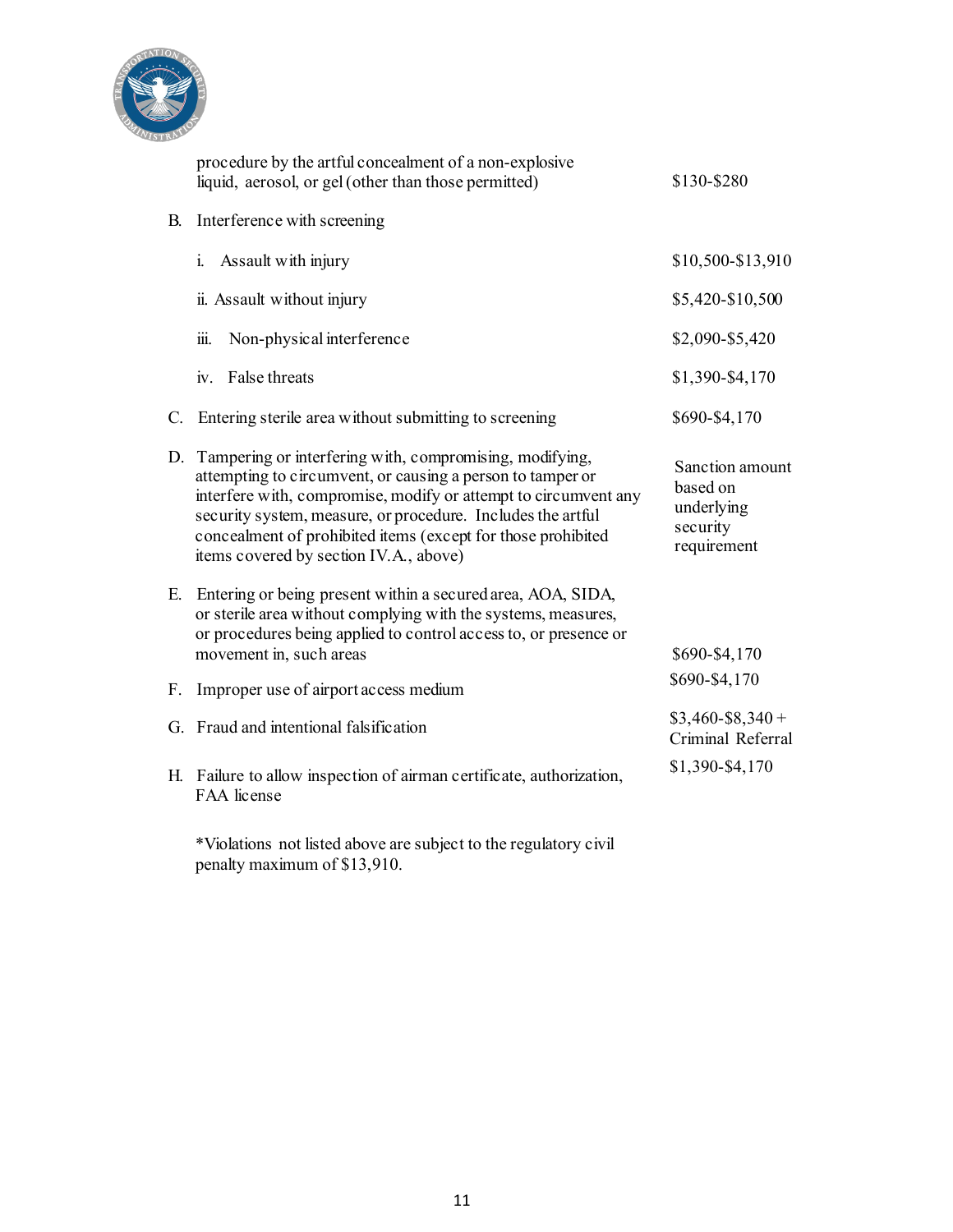

|           | procedure by the artful concealment of a non-explosive<br>liquid, aerosol, or gel (other than those permitted)                                                                                                                                                                                                                                                       | \$130-\$280                                                          |
|-----------|----------------------------------------------------------------------------------------------------------------------------------------------------------------------------------------------------------------------------------------------------------------------------------------------------------------------------------------------------------------------|----------------------------------------------------------------------|
| <b>B.</b> | Interference with screening                                                                                                                                                                                                                                                                                                                                          |                                                                      |
|           | Assault with injury<br>i.                                                                                                                                                                                                                                                                                                                                            | \$10,500-\$13,910                                                    |
|           | ii. Assault without injury                                                                                                                                                                                                                                                                                                                                           | \$5,420-\$10,500                                                     |
|           | $\dddot{\mathbf{m}}$ .<br>Non-physical interference                                                                                                                                                                                                                                                                                                                  | \$2,090-\$5,420                                                      |
|           | iv. False threats                                                                                                                                                                                                                                                                                                                                                    | \$1,390-\$4,170                                                      |
| C.        | Entering sterile area without submitting to screening                                                                                                                                                                                                                                                                                                                | \$690-\$4,170                                                        |
|           | D. Tampering or interfering with, compromising, modifying,<br>attempting to circumvent, or causing a person to tamper or<br>interfere with, compromise, modify or attempt to circumvent any<br>security system, measure, or procedure. Includes the artful<br>concealment of prohibited items (except for those prohibited<br>items covered by section IV.A., above) | Sanction amount<br>based on<br>underlying<br>security<br>requirement |
| E.        | Entering or being present within a secured area, AOA, SIDA,<br>or sterile area without complying with the systems, measures,<br>or procedures being applied to control access to, or presence or<br>movement in, such areas                                                                                                                                          | \$690-\$4,170                                                        |
| F.        | Improper use of airport access medium                                                                                                                                                                                                                                                                                                                                | \$690-\$4,170                                                        |
|           | G. Fraud and intentional falsification                                                                                                                                                                                                                                                                                                                               | $$3,460 - $8,340 +$<br>Criminal Referral                             |
|           | H. Failure to allow inspection of airman certificate, authorization,<br>FAA license                                                                                                                                                                                                                                                                                  | \$1,390-\$4,170                                                      |

\*Violations not listed above are subject to the regulatory civil penalty maximum of \$13,910.